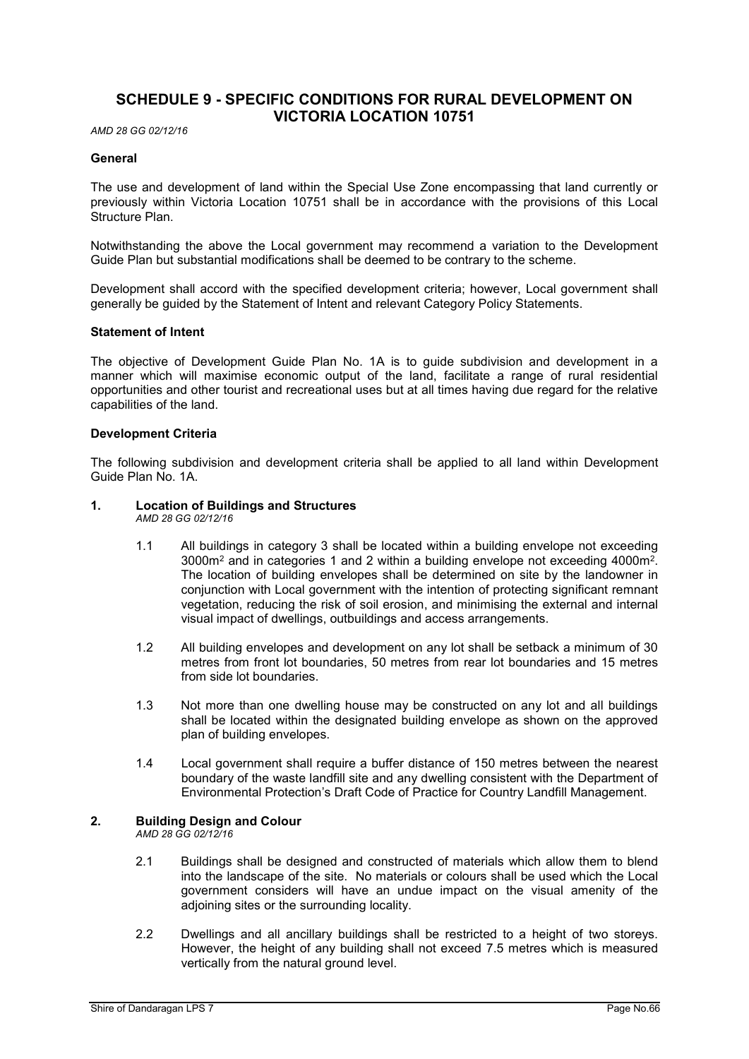# SCHEDULE 9 - SPECIFIC CONDITIONS FOR RURAL DEVELOPMENT ON VICTORIA LOCATION 10751

AMD 28 GG 02/12/16

#### **General**

The use and development of land within the Special Use Zone encompassing that land currently or previously within Victoria Location 10751 shall be in accordance with the provisions of this Local Structure Plan.

Notwithstanding the above the Local government may recommend a variation to the Development Guide Plan but substantial modifications shall be deemed to be contrary to the scheme.

Development shall accord with the specified development criteria; however, Local government shall generally be guided by the Statement of Intent and relevant Category Policy Statements.

#### Statement of Intent

The objective of Development Guide Plan No. 1A is to guide subdivision and development in a manner which will maximise economic output of the land, facilitate a range of rural residential opportunities and other tourist and recreational uses but at all times having due regard for the relative capabilities of the land.

#### Development Criteria

The following subdivision and development criteria shall be applied to all land within Development Guide Plan No. 1A.

# 1. Location of Buildings and Structures

AMD 28 GG 02/12/16

- 1.1 All buildings in category 3 shall be located within a building envelope not exceeding  $3000$ m<sup>2</sup> and in categories 1 and 2 within a building envelope not exceeding 4000m<sup>2</sup>. . The location of building envelopes shall be determined on site by the landowner in conjunction with Local government with the intention of protecting significant remnant vegetation, reducing the risk of soil erosion, and minimising the external and internal visual impact of dwellings, outbuildings and access arrangements.
- 1.2 All building envelopes and development on any lot shall be setback a minimum of 30 metres from front lot boundaries, 50 metres from rear lot boundaries and 15 metres from side lot boundaries.
- 1.3 Not more than one dwelling house may be constructed on any lot and all buildings shall be located within the designated building envelope as shown on the approved plan of building envelopes.
- 1.4 Local government shall require a buffer distance of 150 metres between the nearest boundary of the waste landfill site and any dwelling consistent with the Department of Environmental Protection's Draft Code of Practice for Country Landfill Management.

#### 2. Building Design and Colour

AMD 28 GG 02/12/16

- 2.1 Buildings shall be designed and constructed of materials which allow them to blend into the landscape of the site. No materials or colours shall be used which the Local government considers will have an undue impact on the visual amenity of the adjoining sites or the surrounding locality.
- 2.2 Dwellings and all ancillary buildings shall be restricted to a height of two storeys. However, the height of any building shall not exceed 7.5 metres which is measured vertically from the natural ground level.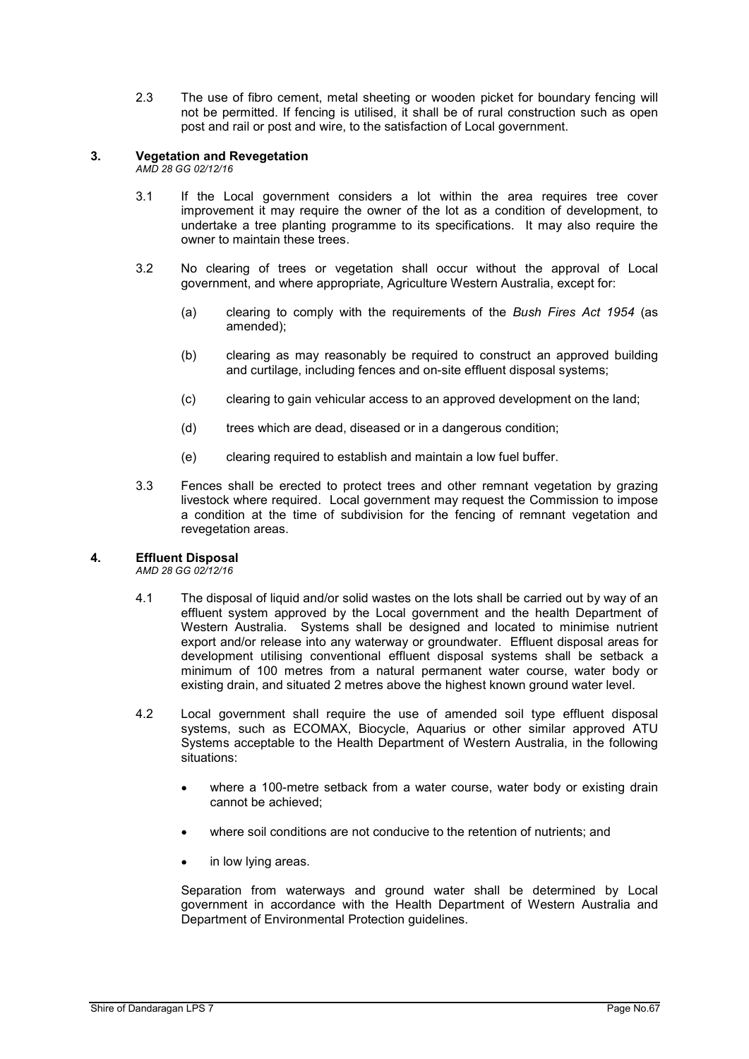2.3 The use of fibro cement, metal sheeting or wooden picket for boundary fencing will not be permitted. If fencing is utilised, it shall be of rural construction such as open post and rail or post and wire, to the satisfaction of Local government.

# 3. Vegetation and Revegetation

AMD 28 GG 02/12/16

- 3.1 If the Local government considers a lot within the area requires tree cover improvement it may require the owner of the lot as a condition of development, to undertake a tree planting programme to its specifications. It may also require the owner to maintain these trees.
- 3.2 No clearing of trees or vegetation shall occur without the approval of Local government, and where appropriate, Agriculture Western Australia, except for:
	- (a) clearing to comply with the requirements of the Bush Fires Act 1954 (as amended);
	- (b) clearing as may reasonably be required to construct an approved building and curtilage, including fences and on-site effluent disposal systems;
	- (c) clearing to gain vehicular access to an approved development on the land;
	- (d) trees which are dead, diseased or in a dangerous condition;
	- (e) clearing required to establish and maintain a low fuel buffer.
- 3.3 Fences shall be erected to protect trees and other remnant vegetation by grazing livestock where required. Local government may request the Commission to impose a condition at the time of subdivision for the fencing of remnant vegetation and revegetation areas.

#### 4. Effluent Disposal

AMD 28 GG 02/12/16

- 4.1 The disposal of liquid and/or solid wastes on the lots shall be carried out by way of an effluent system approved by the Local government and the health Department of Western Australia. Systems shall be designed and located to minimise nutrient export and/or release into any waterway or groundwater. Effluent disposal areas for development utilising conventional effluent disposal systems shall be setback a minimum of 100 metres from a natural permanent water course, water body or existing drain, and situated 2 metres above the highest known ground water level.
- 4.2 Local government shall require the use of amended soil type effluent disposal systems, such as ECOMAX, Biocycle, Aquarius or other similar approved ATU Systems acceptable to the Health Department of Western Australia, in the following situations:
	- where a 100-metre setback from a water course, water body or existing drain cannot be achieved;
	- where soil conditions are not conducive to the retention of nutrients; and
	- in low lying areas.

Separation from waterways and ground water shall be determined by Local government in accordance with the Health Department of Western Australia and Department of Environmental Protection quidelines.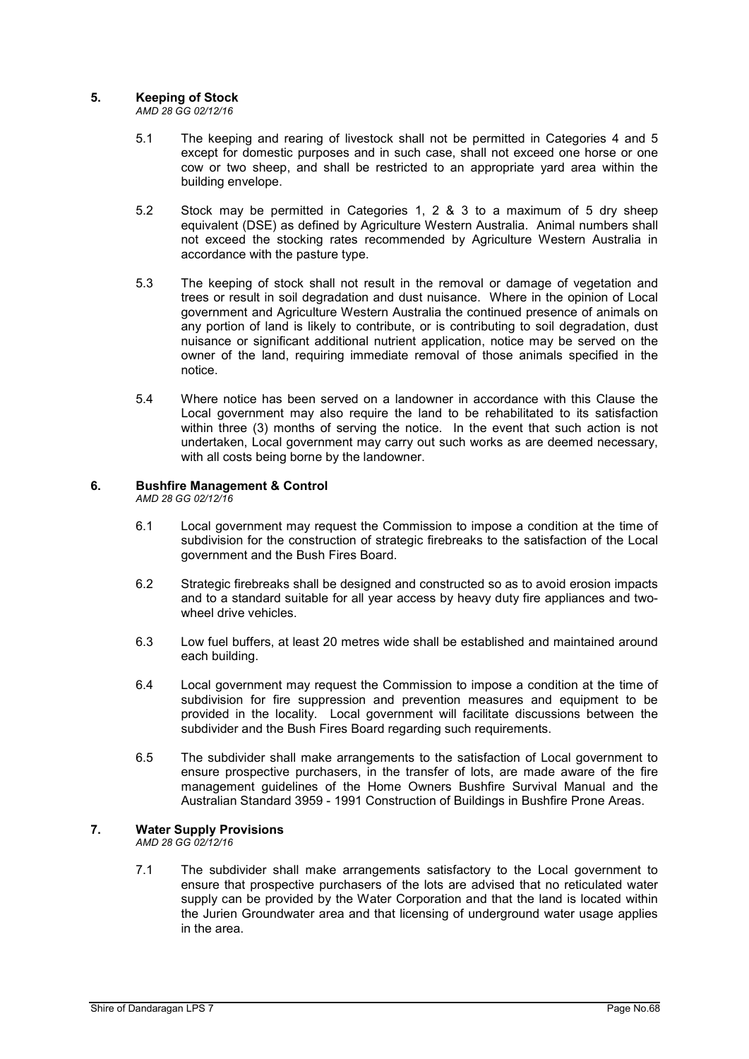# 5. Keeping of Stock

AMD 28 GG 02/12/16

- 5.1 The keeping and rearing of livestock shall not be permitted in Categories 4 and 5 except for domestic purposes and in such case, shall not exceed one horse or one cow or two sheep, and shall be restricted to an appropriate yard area within the building envelope.
- 5.2 Stock may be permitted in Categories 1, 2 & 3 to a maximum of 5 dry sheep equivalent (DSE) as defined by Agriculture Western Australia. Animal numbers shall not exceed the stocking rates recommended by Agriculture Western Australia in accordance with the pasture type.
- 5.3 The keeping of stock shall not result in the removal or damage of vegetation and trees or result in soil degradation and dust nuisance. Where in the opinion of Local government and Agriculture Western Australia the continued presence of animals on any portion of land is likely to contribute, or is contributing to soil degradation, dust nuisance or significant additional nutrient application, notice may be served on the owner of the land, requiring immediate removal of those animals specified in the notice.
- 5.4 Where notice has been served on a landowner in accordance with this Clause the Local government may also require the land to be rehabilitated to its satisfaction within three (3) months of serving the notice. In the event that such action is not undertaken, Local government may carry out such works as are deemed necessary, with all costs being borne by the landowner.

# 6. Bushfire Management & Control

AMD 28 GG 02/12/16

- 6.1 Local government may request the Commission to impose a condition at the time of subdivision for the construction of strategic firebreaks to the satisfaction of the Local government and the Bush Fires Board.
- 6.2 Strategic firebreaks shall be designed and constructed so as to avoid erosion impacts and to a standard suitable for all year access by heavy duty fire appliances and twowheel drive vehicles.
- 6.3 Low fuel buffers, at least 20 metres wide shall be established and maintained around each building.
- 6.4 Local government may request the Commission to impose a condition at the time of subdivision for fire suppression and prevention measures and equipment to be provided in the locality. Local government will facilitate discussions between the subdivider and the Bush Fires Board regarding such requirements.
- 6.5 The subdivider shall make arrangements to the satisfaction of Local government to ensure prospective purchasers, in the transfer of lots, are made aware of the fire management guidelines of the Home Owners Bushfire Survival Manual and the Australian Standard 3959 - 1991 Construction of Buildings in Bushfire Prone Areas.

# 7. Water Supply Provisions

AMD 28 GG 02/12/16

7.1 The subdivider shall make arrangements satisfactory to the Local government to ensure that prospective purchasers of the lots are advised that no reticulated water supply can be provided by the Water Corporation and that the land is located within the Jurien Groundwater area and that licensing of underground water usage applies in the area.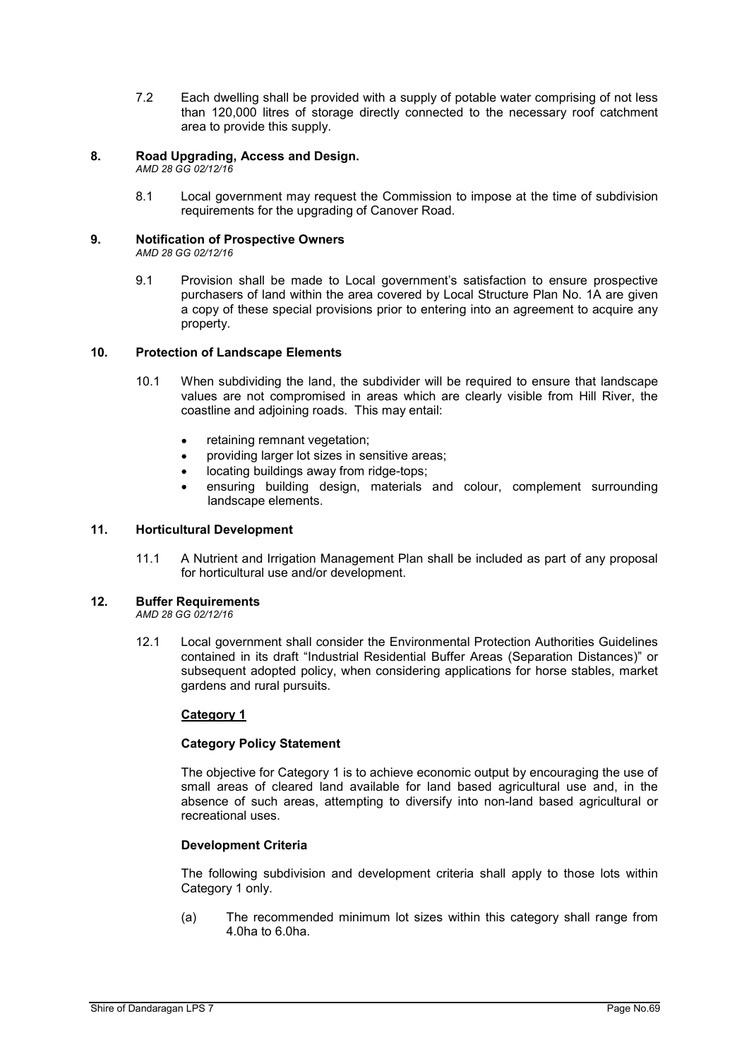7.2 Each dwelling shall be provided with a supply of potable water comprising of not less than 120,000 litres of storage directly connected to the necessary roof catchment area to provide this supply.

# 8. Road Upgrading, Access and Design.

AMD 28 GG 02/12/16

8.1 Local government may request the Commission to impose at the time of subdivision requirements for the upgrading of Canover Road.

# 9. Notification of Prospective Owners

AMD 28 GG 02/12/16

9.1 Provision shall be made to Local government's satisfaction to ensure prospective purchasers of land within the area covered by Local Structure Plan No. 1A are given a copy of these special provisions prior to entering into an agreement to acquire any property.

#### 10. Protection of Landscape Elements

- 10.1 When subdividing the land, the subdivider will be required to ensure that landscape values are not compromised in areas which are clearly visible from Hill River, the coastline and adjoining roads. This may entail:
	- retaining remnant vegetation;
	- providing larger lot sizes in sensitive areas;
	- locating buildings away from ridge-tops;
	- ensuring building design, materials and colour, complement surrounding landscape elements.

# 11. Horticultural Development

11.1 A Nutrient and Irrigation Management Plan shall be included as part of any proposal for horticultural use and/or development.

#### 12. Buffer Requirements

AMD 28 GG 02/12/16

12.1 Local government shall consider the Environmental Protection Authorities Guidelines contained in its draft "Industrial Residential Buffer Areas (Separation Distances)" or subsequent adopted policy, when considering applications for horse stables, market gardens and rural pursuits.

#### Category 1

#### Category Policy Statement

The objective for Category 1 is to achieve economic output by encouraging the use of small areas of cleared land available for land based agricultural use and, in the absence of such areas, attempting to diversify into non-land based agricultural or recreational uses.

### Development Criteria

The following subdivision and development criteria shall apply to those lots within Category 1 only.

(a) The recommended minimum lot sizes within this category shall range from 4.0ha to 6.0ha.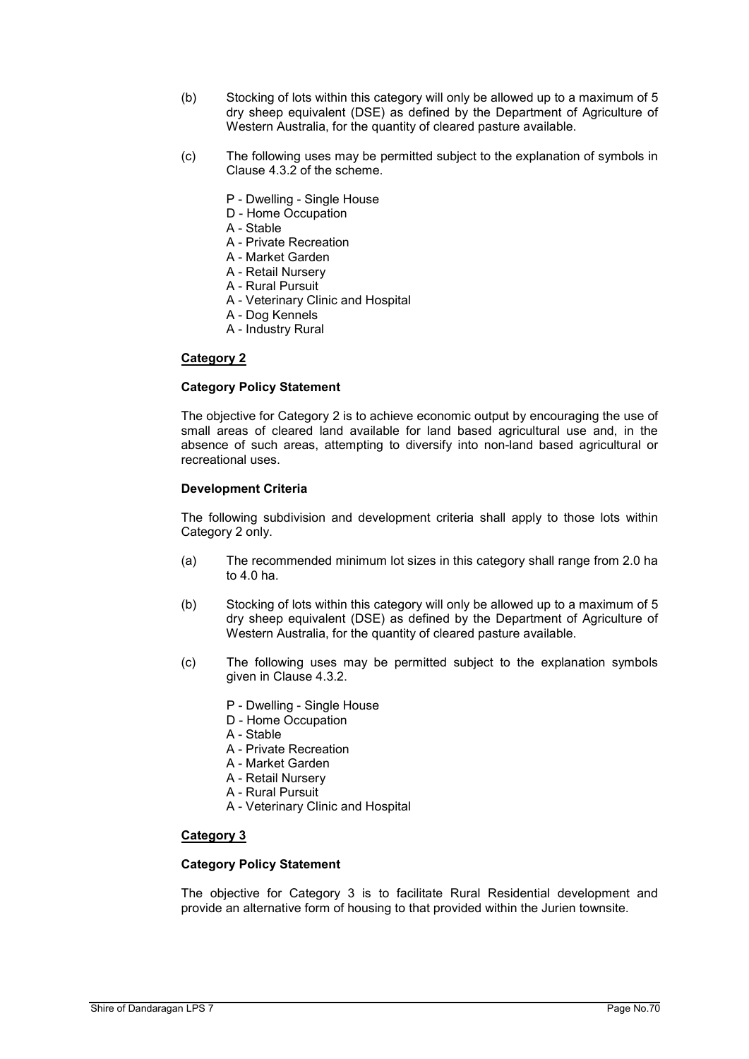- (b) Stocking of lots within this category will only be allowed up to a maximum of 5 dry sheep equivalent (DSE) as defined by the Department of Agriculture of Western Australia, for the quantity of cleared pasture available.
- (c) The following uses may be permitted subject to the explanation of symbols in Clause 4.3.2 of the scheme.
	- P Dwelling Single House
	- D Home Occupation
	- A Stable
	- A Private Recreation
	- A Market Garden
	- A Retail Nursery
	- A Rural Pursuit
	- A Veterinary Clinic and Hospital
	- A Dog Kennels
	- A Industry Rural

### Category 2

### Category Policy Statement

The objective for Category 2 is to achieve economic output by encouraging the use of small areas of cleared land available for land based agricultural use and, in the absence of such areas, attempting to diversify into non-land based agricultural or recreational uses.

# Development Criteria

The following subdivision and development criteria shall apply to those lots within Category 2 only.

- (a) The recommended minimum lot sizes in this category shall range from 2.0 ha to 4.0 ha.
- (b) Stocking of lots within this category will only be allowed up to a maximum of 5 dry sheep equivalent (DSE) as defined by the Department of Agriculture of Western Australia, for the quantity of cleared pasture available.
- (c) The following uses may be permitted subject to the explanation symbols given in Clause 4.3.2.
	- P Dwelling Single House
	- D Home Occupation
	- A Stable
	- A Private Recreation
	- A Market Garden
	- A Retail Nursery
	- A Rural Pursuit
	- A Veterinary Clinic and Hospital

# Category 3

# Category Policy Statement

The objective for Category 3 is to facilitate Rural Residential development and provide an alternative form of housing to that provided within the Jurien townsite.